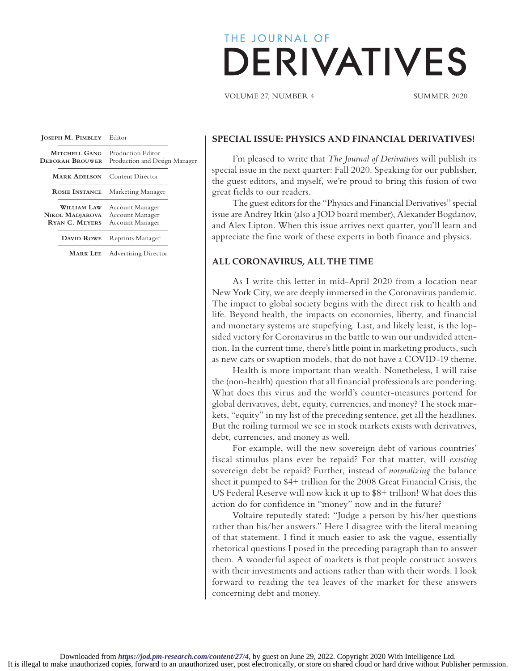# THE JOURNAL OF **DERIVATIVES**

VOLUME 27, NUMBER 4 SUMMER 2020

| JOSEPH M. PIMBLEY Editor                                       |                                                       |  |
|----------------------------------------------------------------|-------------------------------------------------------|--|
| MITCHELL GANG<br><b>DEBORAH BROUWER</b>                        | Production Editor<br>Production and Design Manager    |  |
| <b>MARK ADELSON</b>                                            | <b>Content Director</b>                               |  |
| <b>ROSIE INSTANCE</b>                                          | Marketing Manager                                     |  |
| <b>WILLIAM LAW</b><br>NIKOL MADJAROVA<br><b>RYAN C. MEYERS</b> | Account Manager<br>Account Manager<br>Account Manager |  |
| DAVID ROWE                                                     | Reprints Manager                                      |  |
| <b>MARK LEE</b>                                                | <b>Advertising Director</b>                           |  |

### **SPECIAL ISSUE: PHYSICS AND FINANCIAL DERIVATIVES!**

I'm pleased to write that *The Journal of Derivatives* will publish its special issue in the next quarter: Fall 2020. Speaking for our publisher, the guest editors, and myself, we're proud to bring this fusion of two great fields to our readers.

The guest editors for the "Physics and Financial Derivatives" special issue are Andrey Itkin (also a JOD board member), Alexander Bogdanov, and Alex Lipton. When this issue arrives next quarter, you'll learn and appreciate the fine work of these experts in both finance and physics.

### **ALL CORONAVIRUS, ALL THE TIME**

As I write this letter in mid-April 2020 from a location near New York City, we are deeply immersed in the Coronavirus pandemic. The impact to global society begins with the direct risk to health and life. Beyond health, the impacts on economies, liberty, and financial and monetary systems are stupefying. Last, and likely least, is the lopsided victory for Coronavirus in the battle to win our undivided attention. In the current time, there's little point in marketing products, such as new cars or swaption models, that do not have a COVID-19 theme.

Health is more important than wealth. Nonetheless, I will raise the (non-health) question that all financial professionals are pondering. What does this virus and the world's counter-measures portend for global derivatives, debt, equity, currencies, and money? The stock markets, "equity" in my list of the preceding sentence, get all the headlines. But the roiling turmoil we see in stock markets exists with derivatives, debt, currencies, and money as well.

For example, will the new sovereign debt of various countries' fiscal stimulus plans ever be repaid? For that matter, will *existing* sovereign debt be repaid? Further, instead of *normalizing* the balance sheet it pumped to \$4+ trillion for the 2008 Great Financial Crisis, the US Federal Reserve will now kick it up to \$8+ trillion! What does this action do for confidence in "money" now and in the future?

Voltaire reputedly stated: "Judge a person by his/her questions rather than his/her answers." Here I disagree with the literal meaning of that statement. I find it much easier to ask the vague, essentially rhetorical questions I posed in the preceding paragraph than to answer them. A wonderful aspect of markets is that people construct answers with their investments and actions rather than with their words. I look forward to reading the tea leaves of the market for these answers concerning debt and money.